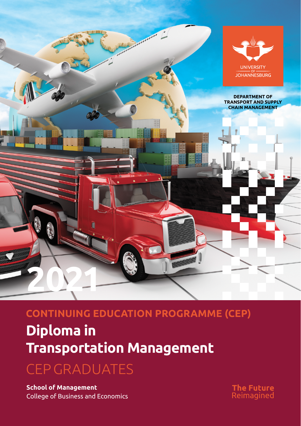

## **CONTINUING EDUCATION PROGRAMME (CEP)**

## **Diploma in Transportation Management**

CEP GRADUATES

**School of Management** College of Business and Economics **The Future**<br>Reimagined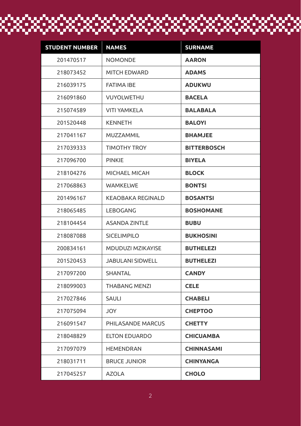## **STUDENT NUMBER NAMES SURNAME** NOMONDE **AARON** MITCH EDWARD **ADAMS** FATIMA IBE **ADUKWU** VUYOLWETHU **BACELA** VITI YAMKELA **BALABALA** KENNETH **BALOYI** MUZZAMMIL **BHAMJEE** TIMOTHY TROY **BITTERBOSCH** PINKIE **BIYELA** MICHAEL MICAH **BLOCK** WAMKELWE **BONTSI** KEAOBAKA REGINALD **BOSANTSI** LEBOGANG **BOSHOMANE** ASANDA ZINTLE **BUBU** SICELIMPILO **BUKHOSINI** MDUDUZI MZIKAYISE **BUTHELEZI** JABULANI SIDWELL **BUTHELEZI** SHANTAL **CANDY** THABANG MENZI **CELE** SAULI **CHABELI** JOY **CHEPTOO** PHILASANDE MARCUS **CHETTY** ELTON EDUARDO **CHICUAMBA** HEMENDRAN **CHINNASAMI** BRUCE JUNIOR **CHINYANGA** AZOLA **CHOLO**

nan nan mananan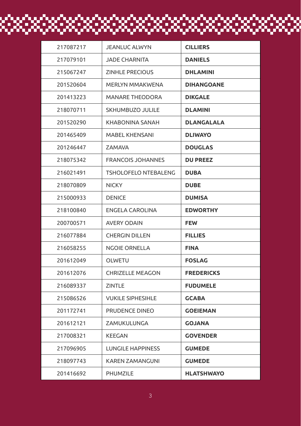| 217087217 | <b>JEANLUC ALWYN</b>        | <b>CILLIERS</b>   |
|-----------|-----------------------------|-------------------|
| 217079101 | JADE CHARNITA               | <b>DANIELS</b>    |
| 215067247 | <b>ZINHLE PRECIOUS</b>      | <b>DHLAMINI</b>   |
| 201520604 | MERLYN MMAKWENA             | <b>DIHANGOANE</b> |
| 201413223 | <b>MANARE THEODORA</b>      | <b>DIKGALE</b>    |
| 218070711 | SKHUMBUZO JULILE            | <b>DLAMINI</b>    |
| 201520290 | KHABONINA SANAH             | <b>DLANGALALA</b> |
| 201465409 | <b>MABEL KHENSANI</b>       | <b>DLIWAYO</b>    |
| 201246447 | <b>ZAMAVA</b>               | <b>DOUGLAS</b>    |
| 218075342 | <b>FRANCOIS JOHANNES</b>    | <b>DU PREEZ</b>   |
| 216021491 | <b>TSHOLOFELO NTEBALENG</b> | <b>DUBA</b>       |
| 218070809 | <b>NICKY</b>                | <b>DUBE</b>       |
| 215000933 | <b>DENICE</b>               | <b>DUMISA</b>     |
| 218100840 | ENGELA CAROLINA             | <b>EDWORTHY</b>   |
| 200700571 | <b>AVERY ODAIN</b>          | <b>FEW</b>        |
| 216077884 | <b>CHERGIN DILLEN</b>       | <b>FILLIES</b>    |
| 216058255 | <b>NGOIE ORNELLA</b>        | <b>FINA</b>       |
| 201612049 | OLWETU                      | <b>FOSLAG</b>     |
| 201612076 | <b>CHRIZELLE MEAGON</b>     | <b>FREDERICKS</b> |
| 216089337 | <b>ZINTLE</b>               | <b>FUDUMELE</b>   |
| 215086526 | <b>VUKILE SIPHESIHLE</b>    | <b>GCABA</b>      |
| 201172741 | PRUDENCE DINEO              | <b>GOEIEMAN</b>   |
| 201612121 | ZAMUKULUNGA                 | <b>GOJANA</b>     |
| 217008321 | <b>KEEGAN</b>               | <b>GOVENDER</b>   |
| 217096905 | <b>LUNGILE HAPPINESS</b>    | <b>GUMEDE</b>     |
| 218097743 | KAREN ZAMANGUNI             | <b>GUMEDE</b>     |
| 201416692 | PHUMZILE                    | <b>HLATSHWAYO</b> |

<u>in di kacamatan di kacamatan di kacamatan di kacamatan di kacamatan di kacamatan di kacamatan di kacamatan di</u>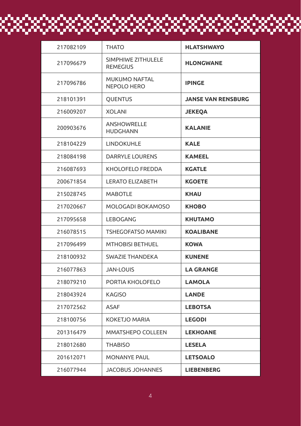| 217082109 | <b>THATO</b>                               | <b>HLATSHWAYO</b>         |
|-----------|--------------------------------------------|---------------------------|
| 217096679 | SIMPHIWE ZITHULELE<br><b>REMEGIUS</b>      | <b>HLONGWANE</b>          |
| 217096786 | <b>MUKUMO NAFTAL</b><br><b>NEPOLO HERO</b> | <b>IPINGE</b>             |
| 218101391 | QUENTUS                                    | <b>JANSE VAN RENSBURG</b> |
| 216009207 | <b>XOLANI</b>                              | <b>JEKEQA</b>             |
| 200903676 | <b>ANSHOWRELLE</b><br><b>HUDGHANN</b>      | <b>KALANIE</b>            |
| 218104229 | <b>LINDOKUHLE</b>                          | <b>KALE</b>               |
| 218084198 | DARRYLE LOURENS                            | <b>KAMEEL</b>             |
| 216087693 | KHOLOFELO FREDDA                           | <b>KGATLE</b>             |
| 200671854 | <b>LERATO ELIZABETH</b>                    | <b>KGOETE</b>             |
| 215028745 | <b>MABOTLE</b>                             | <b>KHAU</b>               |
| 217020667 | MOLOGADI BOKAMOSO                          | <b>KHOBO</b>              |
| 217095658 | LEBOGANG                                   | <b>KHUTAMO</b>            |
| 216078515 | <b>TSHEGOFATSO MAMIKI</b>                  | <b>KOALIBANE</b>          |
| 217096499 | <b>MTHOBISI BETHUEL</b>                    | <b>KOWA</b>               |
| 218100932 | <b>SWAZIE THANDEKA</b>                     | <b>KUNENE</b>             |
| 216077863 | <b>JAN-LOUIS</b>                           | <b>LA GRANGE</b>          |
| 218079210 | PORTIA KHOLOFELO                           | <b>LAMOLA</b>             |
| 218043924 | <b>KAGISO</b>                              | <b>LANDE</b>              |
| 217072562 | <b>ASAF</b>                                | <b>LEBOTSA</b>            |
| 218100756 | KOKETJO MARIA                              | <b>LEGODI</b>             |
| 201316479 | MMATSHEPO COLLEEN                          | <b>LEKHOANE</b>           |
| 218012680 | <b>THABISO</b>                             | <b>LESELA</b>             |
| 201612071 | <b>MONANYE PAUL</b>                        | <b>LETSOALO</b>           |
| 216077944 | <b>JACOBUS JOHANNES</b>                    | <b>LIEBENBERG</b>         |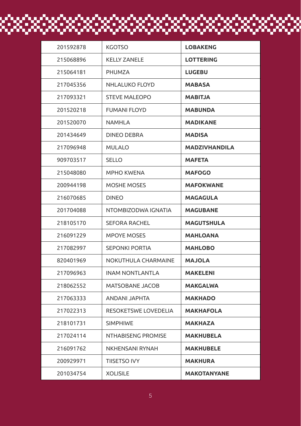| 201592878 | <b>KGOTSO</b>          | <b>LOBAKENG</b>      |
|-----------|------------------------|----------------------|
| 215068896 | <b>KELLY ZANELE</b>    | <b>LOTTERING</b>     |
| 215064181 | PHUMZA                 | <b>LUGEBU</b>        |
| 217045356 | NHLALUKO FLOYD         | <b>MABASA</b>        |
| 217093321 | <b>STEVE MALEOPO</b>   | <b>MABITJA</b>       |
| 201520218 | <b>FUMANI FLOYD</b>    | <b>MABUNDA</b>       |
| 201520070 | <b>NAMHLA</b>          | <b>MADIKANE</b>      |
| 201434649 | <b>DINEO DEBRA</b>     | <b>MADISA</b>        |
| 217096948 | <b>MULALO</b>          | <b>MADZIVHANDILA</b> |
| 909703517 | <b>SELLO</b>           | <b>MAFETA</b>        |
| 215048080 | <b>MPHO KWENA</b>      | <b>MAFOGO</b>        |
| 200944198 | <b>MOSHE MOSES</b>     | <b>MAFOKWANE</b>     |
| 216070685 | <b>DINEO</b>           | <b>MAGAGULA</b>      |
| 201704088 | NTOMBIZODWA IGNATIA    | <b>MAGUBANE</b>      |
| 218105170 | <b>SEFORA RACHEL</b>   | <b>MAGUTSHULA</b>    |
| 216091229 | <b>MPOYE MOSES</b>     | <b>MAHLOANA</b>      |
| 217082997 | <b>SEPONKI PORTIA</b>  | <b>MAHLOBO</b>       |
| 820401969 | NOKUTHULA CHARMAINE    | <b>MAJOLA</b>        |
| 217096963 | <b>INAM NONTLANTLA</b> | <b>MAKELENI</b>      |
| 218062552 | MATSOBANE JACOB        | <b>MAKGALWA</b>      |
| 217063333 | ANDANI JAPHTA          | <b>MAKHADO</b>       |
| 217022313 | RESOKETSWE LOVEDELIA   | <b>MAKHAFOLA</b>     |
| 218101731 | <b>SIMPHIWE</b>        | <b>MAKHAZA</b>       |
| 217024114 | NTHABISENG PROMISE     | <b>MAKHUBELA</b>     |
| 216091762 | <b>NKHENSANI RYNAH</b> | <b>MAKHUBELE</b>     |
| 200929971 | <b>TIISETSO IVY</b>    | <b>MAKHURA</b>       |
| 201034754 | <b>XOLISILE</b>        | <b>MAKOTANYANE</b>   |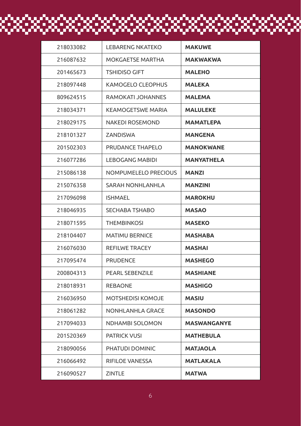| 218033082 | <b>LEBARENG NKATEKO</b> | <b>MAKUWE</b>      |
|-----------|-------------------------|--------------------|
| 216087632 | MOKGAETSE MARTHA        | <b>MAKWAKWA</b>    |
| 201465673 | <b>TSHIDISO GIFT</b>    | <b>MALEHO</b>      |
| 218097448 | KAMOGELO CLEOPHUS       | <b>MALEKA</b>      |
| 809624515 | RAMOKATI JOHANNES       | <b>MALEMA</b>      |
| 218034371 | KEAMOGETSWE MARIA       | <b>MALULEKE</b>    |
| 218029175 | NAKEDI ROSEMOND         | <b>MAMATLEPA</b>   |
| 218101327 | ZANDISWA                | <b>MANGENA</b>     |
| 201502303 | PRUDANCE THAPELO        | <b>MANOKWANE</b>   |
| 216077286 | LEBOGANG MABIDI         | MANYATHELA         |
| 215086138 | NOMPUMELELO PRECIOUS    | <b>MANZI</b>       |
| 215076358 | SARAH NONHLANHLA        | <b>MANZINI</b>     |
| 217096098 | <b>ISHMAEL</b>          | <b>MAROKHU</b>     |
| 218046935 | <b>SECHABA TSHABO</b>   | MASAO              |
| 218071595 | <b>THEMBINKOSI</b>      | <b>MASEKO</b>      |
| 218104407 | <b>MATIMU BERNICE</b>   | <b>MASHABA</b>     |
| 216076030 | REFILWE TRACEY          | <b>MASHAI</b>      |
| 217095474 | <b>PRUDENCE</b>         | <b>MASHEGO</b>     |
| 200804313 | PEARL SEBENZILE         | <b>MASHIANE</b>    |
| 218018931 | REBAONE                 | <b>MASHIGO</b>     |
| 216036950 | MOTSHEDISI KOMOJE       | <b>MASIU</b>       |
| 218061282 | NONHLANHLA GRACE        | <b>MASONDO</b>     |
| 217094033 | <b>NDHAMBI SOLOMON</b>  | <b>MASWANGANYE</b> |
| 201520369 | <b>PATRICK VUSI</b>     | <b>MATHEBULA</b>   |
| 218090056 | PHATUDI DOMINIC         | <b>MATJAOLA</b>    |
| 216066492 | RIFILOE VANESSA         | <b>MATLAKALA</b>   |
| 216090527 | <b>ZINTLE</b>           | <b>MATWA</b>       |

<u>in di kacamatan di kacamatan di kacamatan di kacamatan di kacamatan di kacamatan di kacamatan di kacamatan di</u>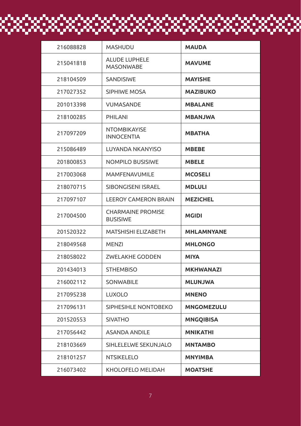| 216088828 | <b>MASHUDU</b>                              | <b>MAUDA</b>      |
|-----------|---------------------------------------------|-------------------|
| 215041818 | <b>ALUDE LUPHELE</b><br><b>MASONWABE</b>    | <b>MAVUME</b>     |
| 218104509 | <b>SANDISIWE</b>                            | <b>MAYISHE</b>    |
| 217027352 | <b>SIPHIWE MOSA</b>                         | <b>MAZIBUKO</b>   |
| 201013398 | <b>VUMASANDE</b>                            | <b>MBALANE</b>    |
| 218100285 | PHILANI                                     | <b>MBANJWA</b>    |
| 217097209 | <b>NTOMBIKAYISE</b><br><b>INNOCENTIA</b>    | <b>MBATHA</b>     |
| 215086489 | LUYANDA NKANYISO                            | <b>MBEBE</b>      |
| 201800853 | <b>NOMPILO BUSISIWE</b>                     | <b>MBELE</b>      |
| 217003068 | <b>MAMFENAVUMILE</b>                        | <b>MCOSELI</b>    |
| 218070715 | SIBONGISENI ISRAEL                          | <b>MDLULI</b>     |
| 217097107 | <b>LEEROY CAMERON BRAIN</b>                 | <b>MEZICHEL</b>   |
| 217004500 | <b>CHARMAINE PROMISE</b><br><b>BUSISIWE</b> | <b>MGIDI</b>      |
| 201520322 | MATSHISHI ELIZABETH                         | <b>MHLAMNYANE</b> |
| 218049568 | <b>MENZI</b>                                | <b>MHLONGO</b>    |
| 218058022 | <b>ZWELAKHE GODDEN</b>                      | <b>MIYA</b>       |
| 201434013 | <b>STHEMBISO</b>                            | <b>MKHWANAZI</b>  |
| 216002112 | <b>SONWABILE</b>                            | <b>MLUNJWA</b>    |
| 217095238 | <b>LUXOLO</b>                               | <b>MNENO</b>      |
| 217096131 | SIPHESIHLE NONTOBEKO                        | <b>MNGOMEZULU</b> |
| 201520553 | <b>SIVATHO</b>                              | <b>MNGQIBISA</b>  |
| 217056442 | <b>ASANDA ANDILE</b>                        | <b>MNIKATHI</b>   |
| 218103669 | SIHLELELWE SEKUNJALO                        | <b>MNTAMBO</b>    |
| 218101257 | NTSIKELELO                                  | <b>MNYIMBA</b>    |
| 216073402 | KHOLOFELO MELIDAH                           | <b>MOATSHE</b>    |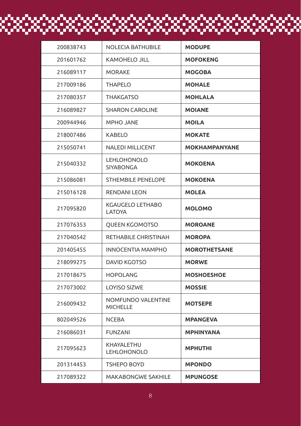| 200838743 | <b>NOLECIA BATHUBILE</b>               | <b>MODUPE</b>        |
|-----------|----------------------------------------|----------------------|
| 201601762 | <b>KAMOHELO JILL</b>                   | <b>MOFOKENG</b>      |
| 216089117 | <b>MORAKE</b>                          | <b>MOGOBA</b>        |
| 217009186 | <b>THAPELO</b>                         | <b>MOHALE</b>        |
| 217080357 | <b>THAKGATSO</b>                       | <b>MOHLALA</b>       |
| 216089827 | <b>SHARON CAROLINE</b>                 | <b>MOIANE</b>        |
| 200944946 | <b>MPHO JANE</b>                       | <b>MOILA</b>         |
| 218007486 | <b>KABELO</b>                          | <b>MOKATE</b>        |
| 215050741 | <b>NALEDI MILLICENT</b>                | <b>MOKHAMPANYANE</b> |
| 215040332 | <b>LEHLOHONOLO</b><br><b>SIYABONGA</b> | <b>MOKOENA</b>       |
| 215086081 | <b>STHEMBILE PENELOPE</b>              | <b>MOKOENA</b>       |
| 215016128 | <b>RENDANI LEON</b>                    | <b>MOLEA</b>         |
| 217095820 | KGAUGELO LETHABO<br>LATOYA             | <b>MOLOMO</b>        |
| 217076353 | <b>QUEEN KGOMOTSO</b>                  | <b>MOROANE</b>       |
| 217040542 | RETHABILE CHRISTINAH                   | <b>MOROPA</b>        |
| 201405455 | <b>INNOCENTIA MAMPHO</b>               | <b>MOROTHETSANE</b>  |
| 218099275 | <b>DAVID KGOTSO</b>                    | <b>MORWE</b>         |
| 217018675 | <b>HOPOLANG</b>                        | <b>MOSHOESHOE</b>    |
| 217073002 | LOYISO SIZWE                           | <b>MOSSIE</b>        |
| 216009432 | NOMFUNDO VALENTINE<br><b>MICHELLE</b>  | <b>MOTSEPE</b>       |
| 802049526 | <b>NCEBA</b>                           | <b>MPANGEVA</b>      |
| 216086031 | <b>FUNZANI</b>                         | <b>MPHINYANA</b>     |
| 217095623 | KHAYALETHU<br><b>LEHLOHONOLO</b>       | <b>MPHUTHI</b>       |
| 201314453 | <b>TSHEPO BOYD</b>                     | <b>MPONDO</b>        |
| 217089322 | <b>MAKABONGWE SAKHILE</b>              | <b>MPUNGOSE</b>      |

<u>in di kacamatan di kacamatan di kacamatan di kacamatan di kacamatan di kacamatan di kacamatan di kacamatan di</u>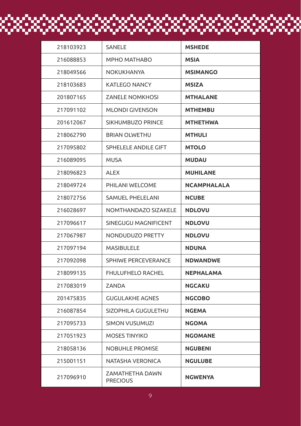| 218103923 | SANELE                             | <b>MSHEDE</b>      |
|-----------|------------------------------------|--------------------|
| 216088853 | MPHO MATHABO                       | <b>MSIA</b>        |
| 218049566 | NOKUKHANYA                         | <b>MSIMANGO</b>    |
| 218103683 | <b>KATLEGO NANCY</b>               | <b>MSIZA</b>       |
| 201807165 | <b>ZANELE NOMKHOSI</b>             | <b>MTHALANE</b>    |
| 217091102 | <b>MLONDI GIVENSON</b>             | <b>MTHEMBU</b>     |
| 201612067 | SIKHUMBUZO PRINCE                  | <b>MTHETHWA</b>    |
| 218062790 | <b>BRIAN OLWETHU</b>               | <b>MTHULI</b>      |
| 217095802 | SPHELELE ANDILE GIFT               | <b>MTOLO</b>       |
| 216089095 | <b>MUSA</b>                        | <b>MUDAU</b>       |
| 218096823 | <b>ALEX</b>                        | <b>MUHILANE</b>    |
| 218049724 | PHILANI WELCOME                    | <b>NCAMPHALALA</b> |
| 218072756 | SAMUEL PHELELANI                   | <b>NCUBE</b>       |
| 216028697 | NOMTHANDAZO SIZAKELE               | <b>NDLOVU</b>      |
| 217096617 | SINEGUGU MAGNIFICENT               | <b>NDLOVU</b>      |
| 217067987 | NONDUDUZO PRETTY                   | <b>NDLOVU</b>      |
| 217097194 | <b>MASIBULELE</b>                  | <b>NDUNA</b>       |
| 217092098 | SPHIWE PERCEVERANCE                | <b>NDWANDWE</b>    |
| 218099135 | FHULUFHELO RACHEL                  | <b>NEPHALAMA</b>   |
| 217083019 | ZANDA                              | <b>NGCAKU</b>      |
| 201475835 | <b>GUGULAKHE AGNES</b>             | <b>NGCOBO</b>      |
| 216087854 | SIZOPHILA GUGULETHU                | <b>NGEMA</b>       |
| 217095733 | SIMON VUSUMUZI                     | <b>NGOMA</b>       |
| 217051923 | <b>MOSES TINYIKO</b>               | <b>NGOMANE</b>     |
| 218058136 | <b>NOBUHLE PROMISE</b>             | <b>NGUBENI</b>     |
| 215001151 | NATASHA VERONICA                   | <b>NGULUBE</b>     |
| 217096910 | ZAMATHETHA DAWN<br><b>PRECIOUS</b> | <b>NGWENYA</b>     |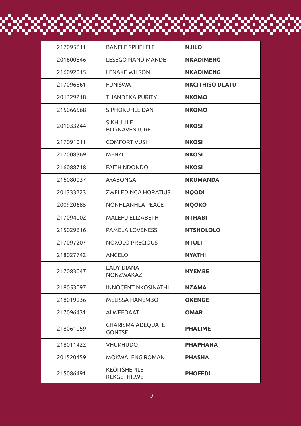| 217095611 | <b>BANELE SPHELELE</b>                    | <b>NJILO</b>           |
|-----------|-------------------------------------------|------------------------|
| 201600846 | <b>LESEGO NANDIMANDE</b>                  | <b>NKADIMENG</b>       |
| 216092015 | <b>LENAKE WILSON</b>                      | <b>NKADIMENG</b>       |
| 217096861 | <b>FUNISWA</b>                            | <b>NKCITHISO DLATU</b> |
| 201329218 | <b>THANDEKA PURITY</b>                    | <b>NKOMO</b>           |
| 215066568 | SIPHOKUHLE DAN                            | <b>NKOMO</b>           |
| 201033244 | <b>SIKHULILE</b><br><b>BORNAVENTURE</b>   | <b>NKOSI</b>           |
| 217091011 | <b>COMFORT VUSI</b>                       | <b>NKOSI</b>           |
| 217008369 | MENZI                                     | <b>NKOSI</b>           |
| 216088718 | <b>FAITH NDONDO</b>                       | <b>NKOSI</b>           |
| 216080037 | AYABONGA                                  | <b>NKUMANDA</b>        |
| 201333223 | <b>ZWELEDINGA HORATIUS</b>                | <b>NQODI</b>           |
| 200920685 | <b>NONHLANHLA PEACE</b>                   | <b>NOOKO</b>           |
| 217094002 | MALEFU ELIZABETH                          | <b>NTHABI</b>          |
| 215029616 | <b>PAMELA LOVENESS</b>                    | <b>NTSHOLOLO</b>       |
| 217097207 | <b>NOXOLO PRECIOUS</b>                    | <b>NTULI</b>           |
| 218027742 | ANGELO                                    | NYATHI                 |
| 217083047 | LADY-DIANA<br>NONZWAKAZI                  | <b>NYEMBE</b>          |
| 218053097 | <b>INNOCENT NKOSINATHI</b>                | <b>NZAMA</b>           |
| 218019936 | <b>MELISSA HANEMBO</b>                    | <b>OKENGE</b>          |
| 217096431 | <b>ALWEEDAAT</b>                          | <b>OMAR</b>            |
| 218061059 | <b>CHARISMA ADEQUATE</b><br><b>GONTSE</b> | <b>PHALIME</b>         |
| 218011422 | <b>VHUKHUDO</b>                           | <b>PHAPHANA</b>        |
| 201520459 | MOKWALENG ROMAN                           | <b>PHASHA</b>          |
| 215086491 | <b>KEOITSHEPILE</b><br>REKGETHILWE        | <b>PHOFEDI</b>         |

 $\begin{array}{c} \rule{0.2cm}{0.15mm} \rule{0.2cm}{0.15mm} \rule{0.2cm}{0.15mm} \rule{0.2cm}{0.15mm} \rule{0.2cm}{0.15mm} \rule{0.2cm}{0.15mm} \rule{0.2cm}{0.15mm} \rule{0.2cm}{0.15mm} \rule{0.2cm}{0.15mm} \rule{0.2cm}{0.15mm} \rule{0.2cm}{0.15mm} \rule{0.2cm}{0.15mm} \rule{0.2cm}{0.15mm} \rule{0.2cm}{0.15mm} \rule{0.2cm}{0.15mm} \rule{$ 

H.

÷

 $\blacksquare$ 

ESE

¢

г

23.

Ē

 $\blacksquare$ 

 $\blacksquare$ 

Ξ

O

R.F

œ.

 $\blacksquare$ 

г

PS.

E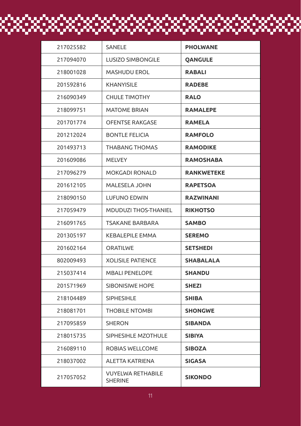| 217025582 | SANELE                              | <b>PHOLWANE</b>   |
|-----------|-------------------------------------|-------------------|
| 217094070 | <b>LUSIZO SIMBONGILE</b>            | <b>OANGULE</b>    |
| 218001028 | <b>MASHUDU EROL</b>                 | <b>RABALI</b>     |
| 201592816 | <b>KHANYISILE</b>                   | <b>RADEBE</b>     |
| 216090349 | <b>CHULE TIMOTHY</b>                | <b>RALO</b>       |
| 218099751 | <b>MATOME BRIAN</b>                 | <b>RAMALEPE</b>   |
|           |                                     |                   |
| 201701774 | <b>OFENTSE RAKGASE</b>              | <b>RAMELA</b>     |
| 201212024 | <b>BONTLE FELICIA</b>               | <b>RAMFOLO</b>    |
| 201493713 | THABANG THOMAS                      | <b>RAMODIKE</b>   |
| 201609086 | <b>MELVEY</b>                       | <b>RAMOSHABA</b>  |
| 217096279 | MOKGADI RONALD                      | <b>RANKWETEKE</b> |
| 201612105 | MALESELA JOHN                       | <b>RAPETSOA</b>   |
| 218090150 | LUFUNO EDWIN                        | <b>RAZWINANI</b>  |
| 217059479 | MDUDUZI THOS-THANIEL                | <b>RIKHOTSO</b>   |
| 216091765 | <b>TSAKANE BARBARA</b>              | <b>SAMBO</b>      |
| 201305197 | <b>KEBALEPILE EMMA</b>              | <b>SEREMO</b>     |
| 201602164 | <b>ORATILWE</b>                     | <b>SETSHEDI</b>   |
| 802009493 | <b>XOLISILE PATIENCE</b>            | <b>SHABALALA</b>  |
| 215037414 | <b>MBALI PENELOPE</b>               | <b>SHANDU</b>     |
| 201571969 | <b>SIBONISIWE HOPE</b>              | <b>SHEZI</b>      |
| 218104489 | <b>SIPHESIHLE</b>                   | <b>SHIBA</b>      |
| 218081701 | <b>THOBILE NTOMBI</b>               | <b>SHONGWE</b>    |
| 217095859 | <b>SHERON</b>                       | <b>SIBANDA</b>    |
| 218015735 | SIPHESIHLE MZOTHULE                 | <b>SIBIYA</b>     |
| 216089110 | ROBIAS WELLCOME                     | <b>SIBOZA</b>     |
| 218037002 | ALETTA KATRIENA                     | <b>SIGASA</b>     |
| 217057052 | <b>VUYELWA RETHABILE</b><br>SHERINE | <b>SIKONDO</b>    |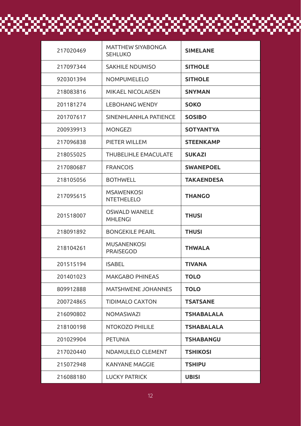| 217020469 | <b>MATTHEW SIYABONGA</b><br><b>SEHLUKO</b> | <b>SIMELANE</b>   |
|-----------|--------------------------------------------|-------------------|
| 217097344 | <b>SAKHILE NDUMISO</b>                     | <b>SITHOLE</b>    |
| 920301394 | <b>NOMPUMELELO</b>                         | <b>SITHOLE</b>    |
| 218083816 | <b>MIKAEL NICOLAISEN</b>                   | <b>SNYMAN</b>     |
| 201181274 | <b>LEBOHANG WENDY</b>                      | <b>SOKO</b>       |
| 201707617 | SINENHLANHLA PATIENCE                      | <b>SOSIBO</b>     |
| 200939913 | <b>MONGEZI</b>                             | <b>SOTYANTYA</b>  |
| 217096838 | PIETER WILLEM                              | <b>STEENKAMP</b>  |
| 218055025 | <b>THUBELIHLE EMACULATE</b>                | <b>SUKAZI</b>     |
| 217080687 | <b>FRANCOIS</b>                            | <b>SWANEPOEL</b>  |
| 218105056 | <b>BOTHWELL</b>                            | <b>TAKAENDESA</b> |
| 217095615 | <b>MSAWENKOSI</b><br>NTETHELELO            | <b>THANGO</b>     |
| 201518007 | <b>OSWALD WANELE</b><br><b>MHLENGI</b>     | <b>THUSI</b>      |
| 218091892 | <b>BONGEKILE PEARL</b>                     | <b>THUSI</b>      |
| 218104261 | <b>MUSANENKOSI</b><br><b>PRAISEGOD</b>     | <b>THWALA</b>     |
| 201515194 | <b>ISABEL</b>                              | <b>TIVANA</b>     |
| 201401023 | <b>MAKGABO PHINEAS</b>                     | <b>TOLO</b>       |
| 809912888 | <b>MATSHWENE JOHANNES</b>                  | <b>TOLO</b>       |
| 200724865 | <b>TIDIMALO CAXTON</b>                     | <b>TSATSANE</b>   |
| 216090802 | <b>NOMASWAZI</b>                           | <b>TSHABALALA</b> |
| 218100198 | NTOKOZO PHILILE                            | <b>TSHABALALA</b> |
| 201029904 | <b>PETUNIA</b>                             | <b>TSHABANGU</b>  |
| 217020440 | NDAMULELO CLEMENT                          | <b>TSHIKOSI</b>   |
| 215072948 | KANYANE MAGGIE                             | <b>TSHIPU</b>     |
| 216088180 | <b>LUCKY PATRICK</b>                       | <b>UBISI</b>      |

20 P

X.

F. O

56 O

FC 0

83.933

ka saa

838.

89. SS 3